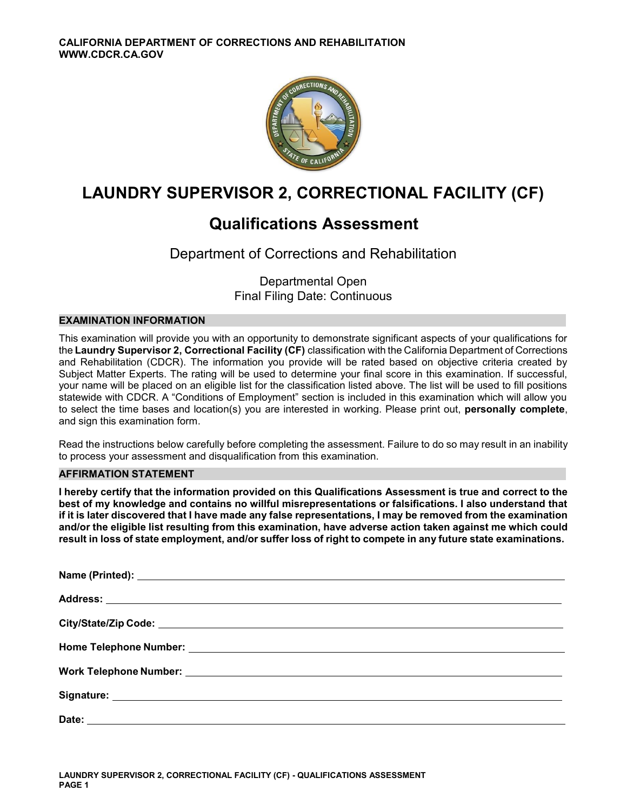

# **LAUNDRY SUPERVISOR 2, CORRECTIONAL FACILITY (CF)**

# **Qualifications Assessment**

# Department of Corrections and Rehabilitation

Departmental Open Final Filing Date: Continuous

# **EXAMINATION INFORMATION**

This examination will provide you with an opportunity to demonstrate significant aspects of your qualifications for the **Laundry Supervisor 2, Correctional Facility (CF)** classification with the California Department of Corrections and Rehabilitation (CDCR). The information you provide will be rated based on objective criteria created by Subject Matter Experts. The rating will be used to determine your final score in this examination. If successful, your name will be placed on an eligible list for the classification listed above. The list will be used to fill positions statewide with CDCR. A "Conditions of Employment" section is included in this examination which will allow you to select the time bases and location(s) you are interested in working. Please print out, **personally complete**, and sign this examination form.

Read the instructions below carefully before completing the assessment. Failure to do so may result in an inability to process your assessment and disqualification from this examination.

# **AFFIRMATION STATEMENT**

**I hereby certify that the information provided on this Qualifications Assessment is true and correct to the best of my knowledge and contains no willful misrepresentations or falsifications. I also understand that if it is later discovered that I have made any false representations, I may be removed from the examination and/or the eligible list resulting from this examination, have adverse action taken against me which could result in loss of state employment, and/or suffer loss of right to compete in any future state examinations.**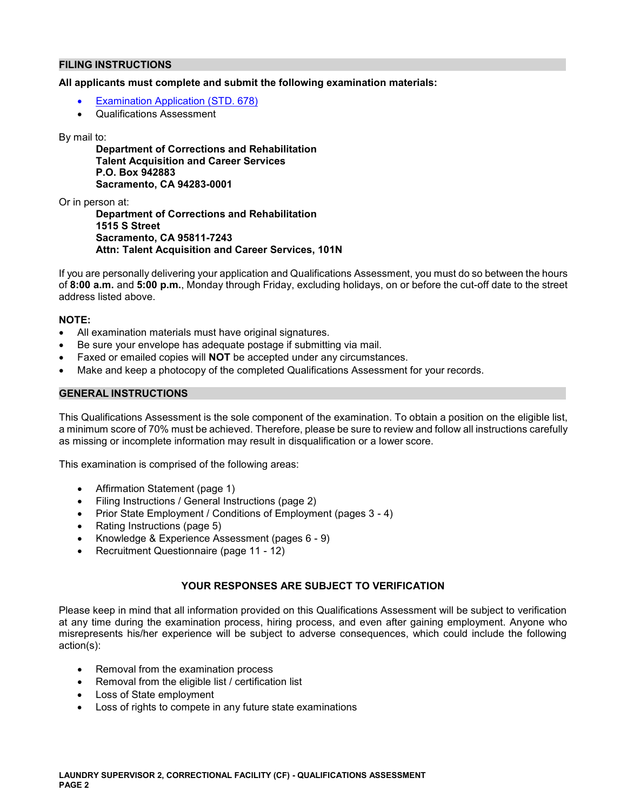# **FILING INSTRUCTIONS**

### **All applicants must complete and submit the following examination materials:**

- [Examination Application \(STD. 678\)](https://jobs.ca.gov/pdf/STD678.pdf)
- Qualifications Assessment

#### By mail to:

**Department of Corrections and Rehabilitation Talent Acquisition and Career Services P.O. Box 942883 Sacramento, CA 94283-0001** 

Or in person at:

**Department of Corrections and Rehabilitation 1515 S Street Sacramento, CA 95811-7243 Attn: Talent Acquisition and Career Services, 101N** 

If you are personally delivering your application and Qualifications Assessment, you must do so between the hours of **8:00 a.m.** and **5:00 p.m.**, Monday through Friday, excluding holidays, on or before the cut-off date to the street address listed above.

# **NOTE:**

- All examination materials must have original signatures.
- Be sure your envelope has adequate postage if submitting via mail.
- Faxed or emailed copies will **NOT** be accepted under any circumstances.
- Make and keep a photocopy of the completed Qualifications Assessment for your records.

### **GENERAL INSTRUCTIONS**

This Qualifications Assessment is the sole component of the examination. To obtain a position on the eligible list, a minimum score of 70% must be achieved. Therefore, please be sure to review and follow all instructions carefully as missing or incomplete information may result in disqualification or a lower score.

This examination is comprised of the following areas:

- Affirmation Statement (page 1)
- Filing Instructions / General Instructions (page 2)
- Prior State Employment / Conditions of Employment (pages 3 4)
- Rating Instructions (page 5)
- Knowledge & Experience Assessment (pages 6 9)
- Recruitment Questionnaire (page 11 12)

# **YOUR RESPONSES ARE SUBJECT TO VERIFICATION**

Please keep in mind that all information provided on this Qualifications Assessment will be subject to verification at any time during the examination process, hiring process, and even after gaining employment. Anyone who misrepresents his/her experience will be subject to adverse consequences, which could include the following action(s):

- Removal from the examination process
- Removal from the eligible list / certification list
- Loss of State employment
- Loss of rights to compete in any future state examinations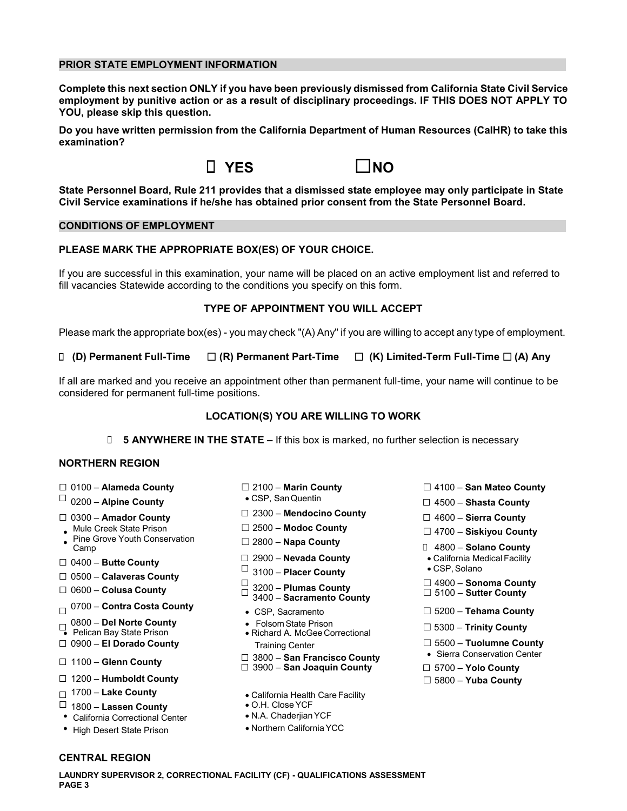# **PRIOR STATE EMPLOYMENT INFORMATION**

**Complete this next section ONLY if you have been previously dismissed from California State Civil Service employment by punitive action or as a result of disciplinary proceedings. IF THIS DOES NOT APPLY TO YOU, please skip this question.** 

**Do you have written permission from the California Department of Human Resources (CalHR) to take this examination?** 



**State Personnel Board, Rule 211 provides that a dismissed state employee may only participate in State Civil Service examinations if he/she has obtained prior consent from the State Personnel Board.** 

### **CONDITIONS OF EMPLOYMENT**

# **PLEASE MARK THE APPROPRIATE BOX(ES) OF YOUR CHOICE.**

If you are successful in this examination, your name will be placed on an active employment list and referred to fill vacancies Statewide according to the conditions you specify on this form.

### **TYPE OF APPOINTMENT YOU WILL ACCEPT**

Please mark the appropriate box(es) - you may check "(A) Any" if you are willing to accept any type of employment.

☐ **(D) Permanent Full-Time** ☐ **(R) Permanent Part-Time** ☐ **(K) Limited-Term Full-Time** ☐ **(A) Any** 

If all are marked and you receive an appointment other than permanent full-time, your name will continue to be considered for permanent full-time positions.

# **LOCATION(S) YOU ARE WILLING TO WORK**

☐ **5 ANYWHERE IN THE STATE –** If this box is marked, no further selection is necessary

# **NORTHERN REGION**

- 
- ☐ 0200 **Alpine County**  CSP, San Quentin ☐ 4500 **Shasta County**
- 
- Mule Creek State Prison <br>● Pine Grove Youth Conservation **□ 2500 Nodoc County Direct Bullety** Direct Pounty **Produce County**
- Pine Grove Youth Conservation ☐ 2800 **Napa County** Camp ☐ 4800 **Solano County**
- 
- 
- 
- 
- 
- 
- 
- 
- ☐ 1200 **Humboldt County** ☐ 5800 **Yuba County**
- ☐ 1700 **Lake County**  California Health Care Facility
- □ 1800 **Lassen County** O.H. Close YCF<br>• California Correctional Center N.A. Chaderjian YCF
- California Correctional Center N.A. Chaderjian YCF
- High Desert State Prison
- 
- 
- ☐ ☐ 2300 **Mendocino County** 0300 **Amador County** ☐ 4600 **Sierra County** 
	-
	-
	-
	-
- <p>□ 0400 Butte County</p>\n<p>□ 0500 Calavers County</p>\n<p>□ 0500 Calavers County</p>\n<p>□ 0500 Calavers</p>\n<p>□ 3100 Place County</p>\n<p>□ 3200 Placer County</p>\n<p>□ 4900 Sonoma County</p>\n<p>□ 4900 Sonoma County</p>\n<p>□ 4900 Sonoma County</p>  $\Box$  0500 – Calaveras County<br>  $\Box$  0600 – Colusa County<br>  $\Box$  0700 – Contra Costa County<br>  $\Box$  0700 – Contra Costa County<br>  $\Box$  0700 – Contra Costa County<br>
• CSP, Sacramento County<br>
• CSP, Sacramento County<br>
• CSP, Sacra
	-
	-
- 0800 **Del Norte County**  Folsom State Prison ☐ ☐ 5300 **Trinity County**  Pelican Bay State Prison Richard A. McGee Correctional ☐ 0900 – **El Dorado County** Training Center ☐ 5500 – **Tuolumne County**
- Sierra Conservation Center ☐ 3800 ☐ **San Francisco County**  1100 **Glenn County** ☐ 3900 **San Joaquin County** ☐ 5700 **Yolo County** 
	- -
		-
		-
	-
- ☐ 0100 **Alameda County** ☐ 2100 **Marin County** ☐ 4100 **San Mateo County** 
	-
	-
	-
	- -
	-
	-
	-
	-
	-
	-
	-
	-

**CENTRAL REGION**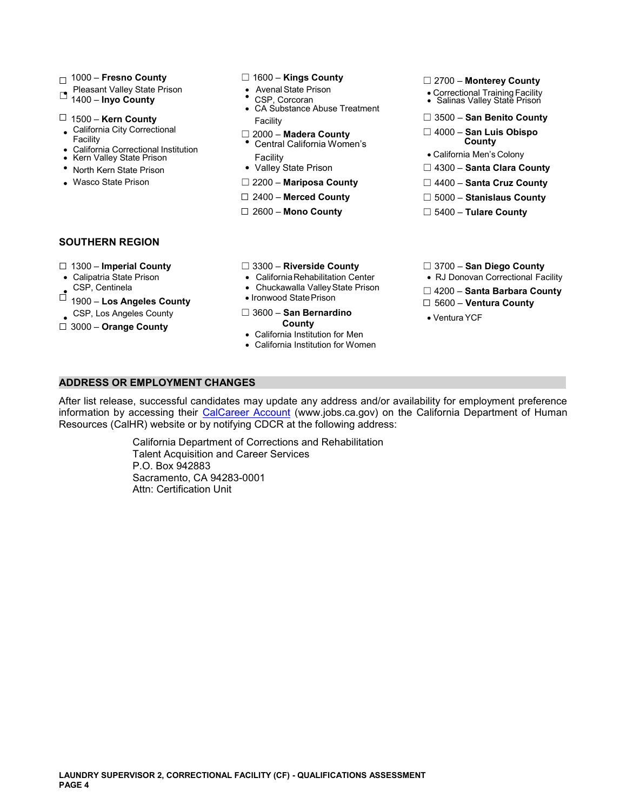- 
- 
- 

- 
- 
- 
- 
- 

- 
- 
- Pleasant Valley State Prison 
 Avenal State Prison 
 Avenal State Prison 
 Correctional Training Facility
 1400 **Inyo County**<br>CSP, Corcoran 
 CSP, Corcoran 
 CA Substance Abuse Treatment<br>
Facility
 Facility
 Fac ☐ 1500 – **Kern County** Facility ☐ 3500 – **San Benito County** 
	-
- California City Correctional Institution<br>
 California Correctional Institution<br>
 California Correctional Institution<br>
 California Women's<br>
 California Men's Colony<br>
 California Men's Colony<br>
 California Men's Col
	-
	-
	-
	-
- ☐ 1000 **Fresno County** ☐ 1600 **Kings County** ☐ 2700 **Monterey County** 
	-
	-
	-
	-
	-
- North Kern State Prison  **Prison Prison Prison Prison Prison Prison A300 Santa Clara County**
- Wasco State Prison **DEMALL COUNTED ASSESS INTERNATION MARTIPOSA County □ 4400 Santa Cruz County** 
	- ☐ 2400 **Merced County** ☐ 5000 **Stanislaus County**
	- ☐ 2600 **Mono County** ☐ 5400 **Tulare County**

# **SOUTHERN REGION**

- 
- 
- CSP, Centinela County Chuckawalla Valley State Prison **□ 4200 Santa Barbara County**<br>
□ 1900 **Los Angeles County Prison Delayer of Santa Barbara County Prison Delayer Delayer Delayer Delayer CSP 1 os Angeles**
- 
- ☐ 3000 **Orange County County**
- 
- ☐ 1300 **Imperial County** ☐ 3300 **Riverside County** ☐ 3700 **San Diego County**  Calipatria State Prison **California Rehabilitation Center California Rehabilitation Center California**<br>Chuckawalla Valley State Prison **Canta Barbara County** 
	-
	-
	- CSP, Los Angeles County **□ 3600 San Bernardino**<br>3000 **Orange County County County County** 
		- California Institution for Men
		- California Institution for Women
- 
- 
- 
- 
- 

# **ADDRESS OR EMPLOYMENT CHANGES**

After list release, successful candidates may update any address and/or availability for employment preference information by accessing their [CalCareer Account](https://www.jobs.ca.gov/) [\(www.jobs.ca.gov](www.jobs.ca.gov)) on the California Department of Human Resources (CalHR) website or by notifying CDCR at the following address:

> California Department of Corrections and Rehabilitation Talent Acquisition and Career Services P.O. Box 942883 Sacramento, CA 94283-0001 Attn: Certification Unit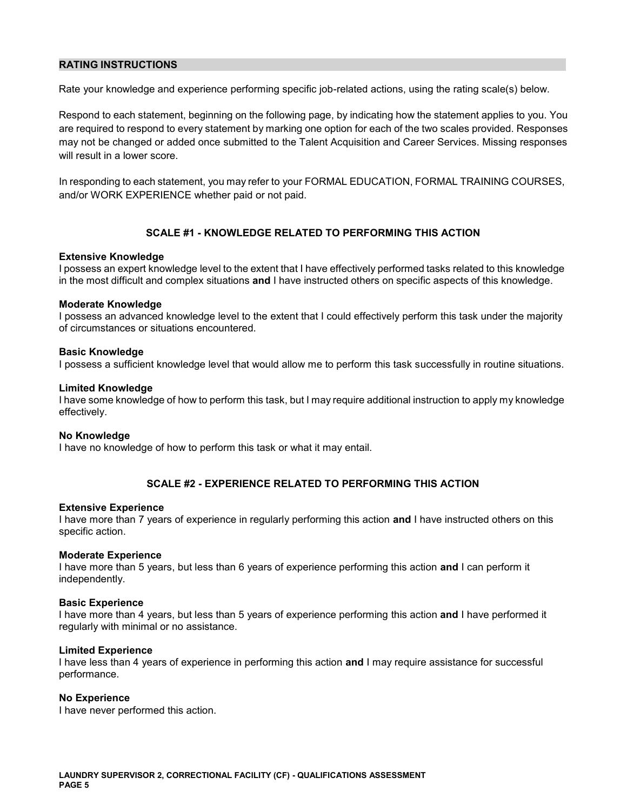# **RATING INSTRUCTIONS**

Rate your knowledge and experience performing specific job-related actions, using the rating scale(s) below.

Respond to each statement, beginning on the following page, by indicating how the statement applies to you. You are required to respond to every statement by marking one option for each of the two scales provided. Responses may not be changed or added once submitted to the Talent Acquisition and Career Services. Missing responses will result in a lower score.

In responding to each statement, you may refer to your FORMAL EDUCATION, FORMAL TRAINING COURSES, and/or WORK EXPERIENCE whether paid or not paid.

# **SCALE #1 - KNOWLEDGE RELATED TO PERFORMING THIS ACTION**

### **Extensive Knowledge**

I possess an expert knowledge level to the extent that I have effectively performed tasks related to this knowledge in the most difficult and complex situations **and** I have instructed others on specific aspects of this knowledge.

### **Moderate Knowledge**

I possess an advanced knowledge level to the extent that I could effectively perform this task under the majority of circumstances or situations encountered.

### **Basic Knowledge**

I possess a sufficient knowledge level that would allow me to perform this task successfully in routine situations.

### **Limited Knowledge**

I have some knowledge of how to perform this task, but I may require additional instruction to apply my knowledge effectively.

#### **No Knowledge**

I have no knowledge of how to perform this task or what it may entail.

# **SCALE #2 - EXPERIENCE RELATED TO PERFORMING THIS ACTION**

#### **Extensive Experience**

I have more than 7 years of experience in regularly performing this action **and** I have instructed others on this specific action.

#### **Moderate Experience**

I have more than 5 years, but less than 6 years of experience performing this action **and** I can perform it independently.

#### **Basic Experience**

I have more than 4 years, but less than 5 years of experience performing this action **and** I have performed it regularly with minimal or no assistance.

#### **Limited Experience**

I have less than 4 years of experience in performing this action **and** I may require assistance for successful performance.

# **No Experience**

I have never performed this action.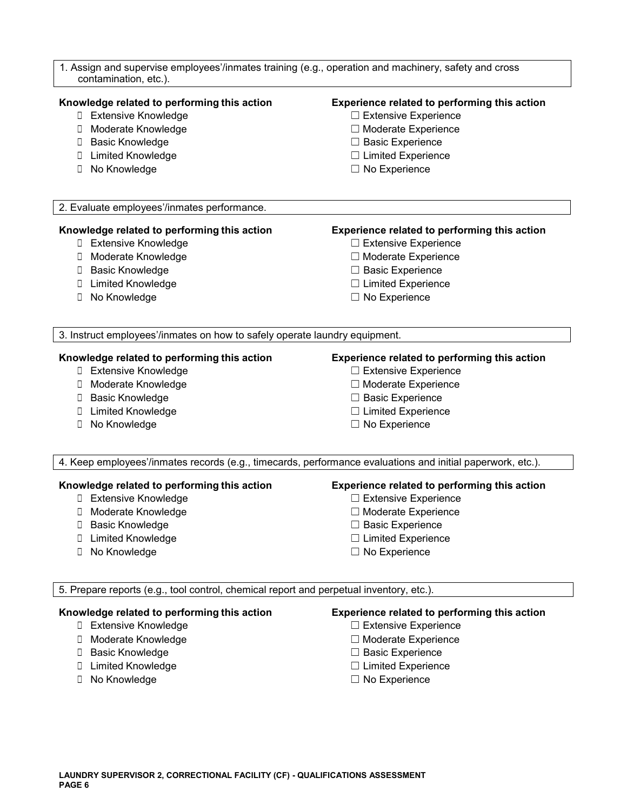| 1. Assign and supervise employees'/inmates training (e.g., operation and machinery, safety and cross<br>contamination, etc.).                                                         |                                                                                                                                                                                      |
|---------------------------------------------------------------------------------------------------------------------------------------------------------------------------------------|--------------------------------------------------------------------------------------------------------------------------------------------------------------------------------------|
| Knowledge related to performing this action<br>□ Extensive Knowledge<br>Moderate Knowledge<br>Ц<br><b>Basic Knowledge</b><br>Ц<br><b>Limited Knowledge</b><br>Ц<br>No Knowledge<br>Ц  | Experience related to performing this action<br>□ Extensive Experience<br>□ Moderate Experience<br>□ Basic Experience<br>□ Limited Experience<br>$\Box$ No Experience                |
| 2. Evaluate employees'/inmates performance.                                                                                                                                           |                                                                                                                                                                                      |
| Knowledge related to performing this action<br><b>D</b> Extensive Knowledge<br>Moderate Knowledge<br>Ц<br>Basic Knowledge<br>О.<br><b>Limited Knowledge</b><br>Ш<br>No Knowledge<br>0 | Experience related to performing this action<br>$\Box$ Extensive Experience<br>□ Moderate Experience<br>□ Basic Experience<br>□ Limited Experience<br>$\Box$ No Experience           |
| 3. Instruct employees'/inmates on how to safely operate laundry equipment.                                                                                                            |                                                                                                                                                                                      |
| Knowledge related to performing this action<br>□ Extensive Knowledge<br>Moderate Knowledge<br>Ц<br>Basic Knowledge<br>Ш<br><b>Limited Knowledge</b><br>Ц<br>No Knowledge<br>О         | Experience related to performing this action<br>$\Box$ Extensive Experience<br>□ Moderate Experience<br>$\Box$ Basic Experience<br>$\Box$ Limited Experience<br>$\Box$ No Experience |
|                                                                                                                                                                                       | 4. Keep employees'/inmates records (e.g., timecards, performance evaluations and initial paperwork, etc.).                                                                           |
| Knowledge related to performing this action<br>□ Extensive Knowledge<br>Moderate Knowledge<br>Ш<br><b>Basic Knowledge</b><br><b>Limited Knowledge</b><br>Ц<br>No Knowledge<br>Ц       | Experience related to performing this action<br>□ Extensive Experience<br>□ Moderate Experience<br>$\Box$ Basic Experience<br>$\Box$ Limited Experience<br>$\Box$ No Experience      |
|                                                                                                                                                                                       |                                                                                                                                                                                      |
| 5. Prepare reports (e.g., tool control, chemical report and perpetual inventory, etc.).                                                                                               |                                                                                                                                                                                      |
| Knowledge related to performing this action<br>□ Extensive Knowledge<br>Moderate Knowledge<br>Ц<br><b>Basic Knowledge</b><br>Ц<br><b>Limited Knowledge</b><br>Ц<br>No Knowledge<br>Ц  | Experience related to performing this action<br>□ Extensive Experience<br>□ Moderate Experience<br>$\Box$ Basic Experience<br>$\Box$ Limited Experience<br>$\Box$ No Experience      |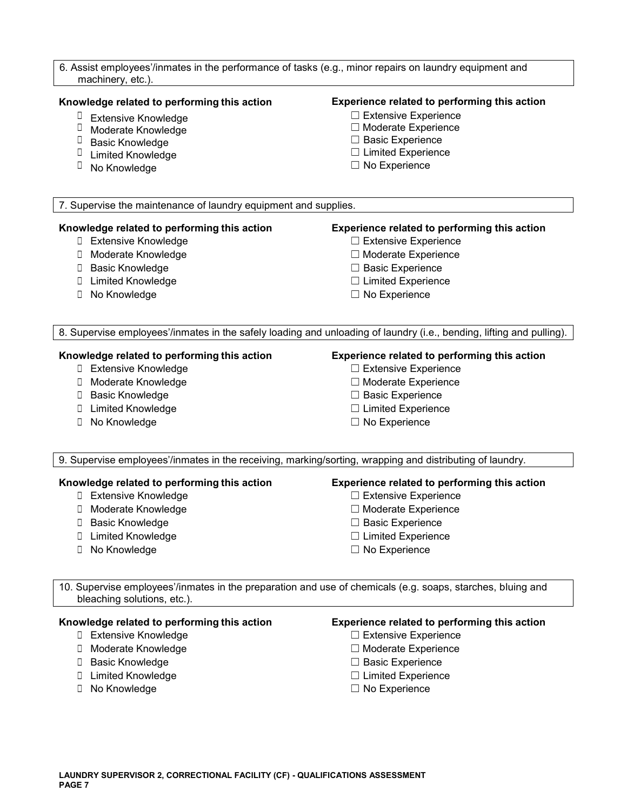# 6. Assist employees'/inmates in the performance of tasks (e.g., minor repairs on laundry equipment and machinery, etc.).

- ☐ Extensive Knowledge ☐ Extensive Experience
- ☐ Moderate Knowledge ☐ Moderate Experience
- ☐ Basic Knowledge ☐ Basic Experience
- ☐ Limited Knowledge ☐ Limited Experience
- □ No Knowledge

# **Knowledge related to performing this action Experience related to performing this action**

- 
- 
- 
- 
- 

7. Supervise the maintenance of laundry equipment and supplies.

### **Knowledge related to performing this action Experience related to performing this action**

- ☐ Extensive Knowledge ☐ Extensive Experience
- ☐ Moderate Knowledge ☐ Moderate Experience
- ☐ Basic Knowledge ☐ Basic Experience
- ☐ Limited Knowledge ☐ Limited Experience
- 

- 
- 
- 
- 
- ☐ No Knowledge ☐ No Experience

8. Supervise employees'/inmates in the safely loading and unloading of laundry (i.e., bending, lifting and pulling).

- 
- 
- 
- ☐ Limited Knowledge ☐ Limited Experience
- ☐ No Knowledge ☐ No Experience

### **Knowledge related to performing this action Experience related to performing this action**

- ☐ Extensive Knowledge ☐ Extensive Experience
- ☐ Moderate Knowledge ☐ Moderate Experience
- ☐ Basic Knowledge ☐ Basic Experience
	-
	-

9. Supervise employees'/inmates in the receiving, marking/sorting, wrapping and distributing of laundry.

- ☐ Extensive Knowledge ☐ Extensive Experience
- ☐ Moderate Knowledge ☐ Moderate Experience
- **□ Basic Knowledge □ Basic Experience**
- 
- 
- **Knowledge related to performing this action Experience related to performing this action** 
	-
	-
	-
	- ☐ Limited Knowledge ☐ Limited Experience
	- ☐ No Knowledge ☐ No Experience

10. Supervise employees'/inmates in the preparation and use of chemicals (e.g. soaps, starches, bluing and bleaching solutions, etc.).

- ☐ Extensive Knowledge ☐ Extensive Experience
- ☐ Moderate Knowledge ☐ Moderate Experience
- ☐ Basic Knowledge ☐ Basic Experience
- ☐ Limited Knowledge ☐ Limited Experience
- ☐ No Knowledge ☐ No Experience

#### **Knowledge related to performing this action Experience related to performing this action**

- 
- 
- 
- 
-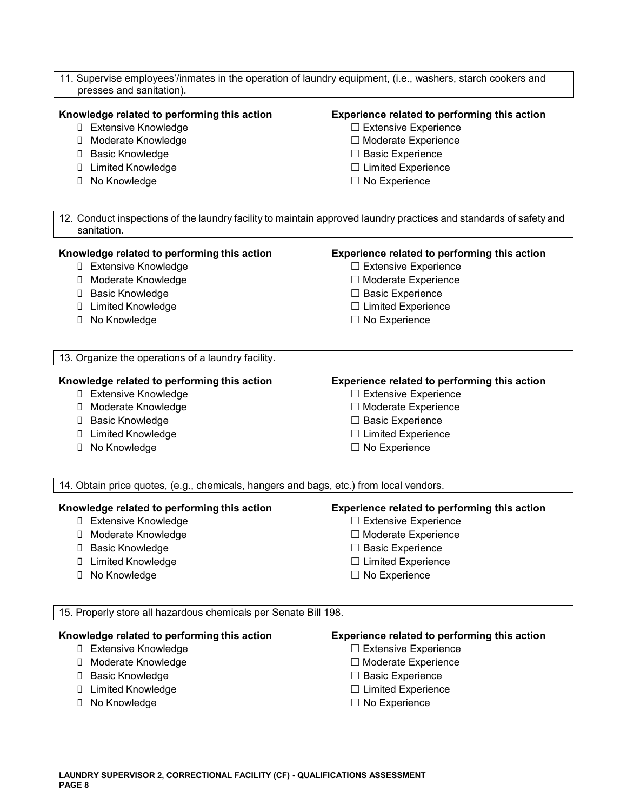11. Supervise employees'/inmates in the operation of laundry equipment, (i.e., washers, starch cookers and presses and sanitation). **Knowledge related to performing this action Experience related to performing this action**  ☐ Extensive Knowledge ☐ Extensive Experience ☐ Moderate Knowledge ☐ Moderate Experience ☐ Basic Knowledge ☐ Basic Experience ☐ Limited Knowledge ☐ Limited Experience ☐ No Knowledge ☐ No Experience 12. Conduct inspections of the laundry facility to maintain approved laundry practices and standards of safety and sanitation. **Knowledge related to performing this action Experience related to performing this action**  ☐ Extensive Knowledge ☐ Extensive Experience ☐ Moderate Knowledge ☐ Moderate Experience ☐ Basic Knowledge ☐ Basic Experience ☐ Limited Knowledge ☐ Limited Experience **□ No Knowledge □ No Experience** 13. Organize the operations of a laundry facility. **Knowledge related to performing this action Experience related to performing this action**  ☐ Extensive Knowledge ☐ Extensive Experience ☐ Moderate Knowledge ☐ Moderate Experience ☐ Basic Knowledge ☐ Basic Experience **□** Limited Knowledge **D** Limited Experience ☐ No Knowledge ☐ No Experience 14. Obtain price quotes, (e.g., chemicals, hangers and bags, etc.) from local vendors. **Knowledge related to performing this action Experience related to performing this action**  ☐ Extensive Knowledge ☐ Extensive Experience ☐ Moderate Knowledge ☐ Moderate Experience ☐ Basic Knowledge ☐ Basic Experience ☐ Limited Knowledge ☐ Limited Experience ☐ No Knowledge ☐ No Experience 15. Properly store all hazardous chemicals per Senate Bill 198. **Knowledge related to performing this action Experience related to performing this action**  ☐ Extensive Knowledge ☐ Extensive Experience ☐ Moderate Knowledge ☐ Moderate Experience ☐ Basic Knowledge ☐ Basic Experience ☐ Limited Knowledge ☐ Limited Experience ☐ No Knowledge ☐ No Experience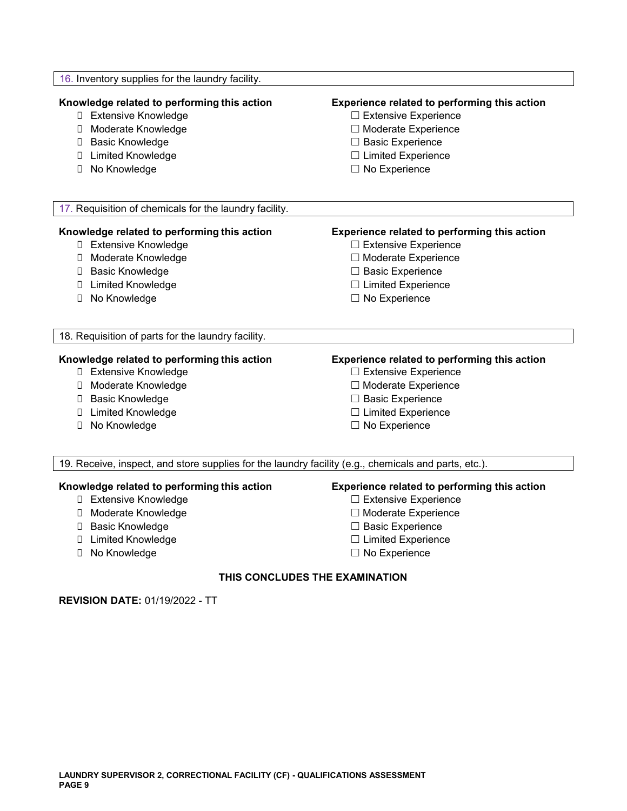| 16. Inventory supplies for the laundry facility.                                                     |                                              |
|------------------------------------------------------------------------------------------------------|----------------------------------------------|
| Knowledge related to performing this action                                                          | Experience related to performing this action |
| □ Extensive Knowledge                                                                                | $\Box$ Extensive Experience                  |
| □ Moderate Knowledge                                                                                 | □ Moderate Experience                        |
| □ Basic Knowledge                                                                                    | □ Basic Experience                           |
| □ Limited Knowledge                                                                                  | $\Box$ Limited Experience                    |
| □ No Knowledge                                                                                       | $\Box$ No Experience                         |
| 17. Requisition of chemicals for the laundry facility.                                               |                                              |
| Knowledge related to performing this action                                                          | Experience related to performing this action |
| <b>D</b> Extensive Knowledge                                                                         | □ Extensive Experience                       |
| □ Moderate Knowledge                                                                                 | □ Moderate Experience                        |
| □ Basic Knowledge                                                                                    | □ Basic Experience                           |
| <b>I</b> Limited Knowledge                                                                           | □ Limited Experience                         |
| □ No Knowledge                                                                                       | □ No Experience                              |
| 18. Requisition of parts for the laundry facility.                                                   |                                              |
| Knowledge related to performing this action                                                          | Experience related to performing this action |
| □ Extensive Knowledge                                                                                | $\Box$ Extensive Experience                  |
| □ Moderate Knowledge                                                                                 | □ Moderate Experience                        |
| □ Basic Knowledge                                                                                    | □ Basic Experience                           |
| □ Limited Knowledge                                                                                  | □ Limited Experience                         |
| □ No Knowledge                                                                                       | $\Box$ No Experience                         |
| 19. Receive, inspect, and store supplies for the laundry facility (e.g., chemicals and parts, etc.). |                                              |
| Knowledge related to performing this action                                                          | Experience related to performing this action |
| □ Extensive Knowledge                                                                                | □ Extensive Experience                       |
| □ Moderate Knowledge                                                                                 | □ Moderate Experience                        |
| □ Basic Knowledge                                                                                    | □ Basic Experience                           |
| □ Limited Knowledge                                                                                  | □ Limited Experience                         |
| □ No Knowledge                                                                                       | $\Box$ No Experience                         |
|                                                                                                      | THIS CONCLUDES THE EXAMINATION               |
| <b>REVISION DATE: 01/19/2022 - TT</b>                                                                |                                              |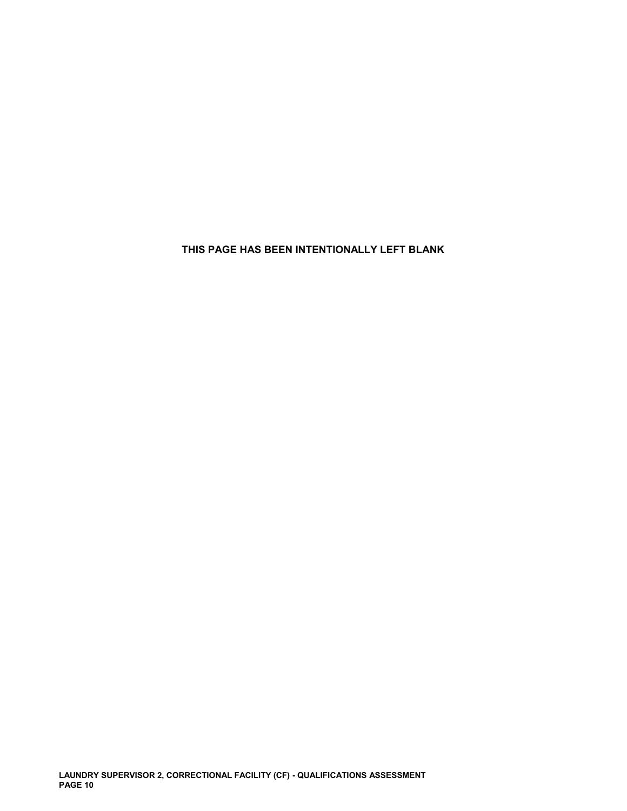**THIS PAGE HAS BEEN INTENTIONALLY LEFT BLANK**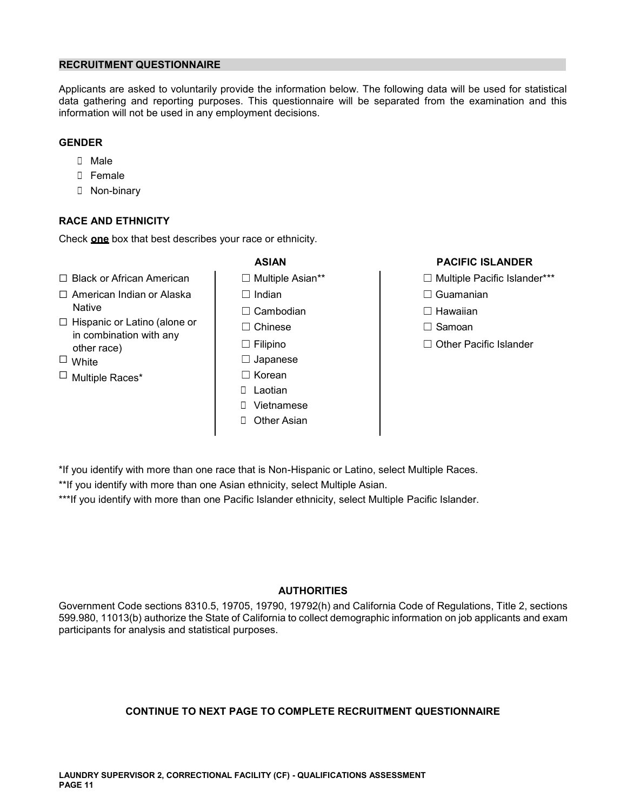# **RECRUITMENT QUESTIONNAIRE**

Applicants are asked to voluntarily provide the information below. The following data will be used for statistical data gathering and reporting purposes. This questionnaire will be separated from the examination and this information will not be used in any employment decisions.

# **GENDER**

- ☐ Male
- ☐ Female
- ☐ Non-binary

# **RACE AND ETHNICITY**

Check **one** box that best describes your race or ethnicity.

- ☐ Black or African American ☐ Multiple Asian\*\* ☐ Multiple Pacific Islander\*\*\*
- ☐ American Indian or Alaska ☐ Indian ☐ Guamanian Native ☐ Cambodian ☐ Hawaiian
- □ Hispanic or Latino (alone or │ │ │ Chinese │ │ │ │ │ Samoan │ │ │ │ Samoan in combination with any ☐ Filipino ☐ Other Pacific Islander other race)
- 
- ☐ Multiple Races\* ☐ Korean
- 
- 
- 
- 
- 
- 
- □ White □ Napanese
	-
	- □ Laotian
	- ☐ Vietnamese
	- ☐ Other Asian

# **ASIAN PACIFIC ISLANDER**

- 
- 
- 
- 
- 

\*If you identify with more than one race that is Non-Hispanic or Latino, select Multiple Races.

\*\*If you identify with more than one Asian ethnicity, select Multiple Asian.

\*\*\*If you identify with more than one Pacific Islander ethnicity, select Multiple Pacific Islander.

# **AUTHORITIES**

Government Code sections 8310.5, 19705, 19790, 19792(h) and California Code of Regulations, Title 2, sections 599.980, 11013(b) authorize the State of California to collect demographic information on job applicants and exam participants for analysis and statistical purposes.

#### **CONTINUE TO NEXT PAGE TO COMPLETE RECRUITMENT QUESTIONNAIRE**